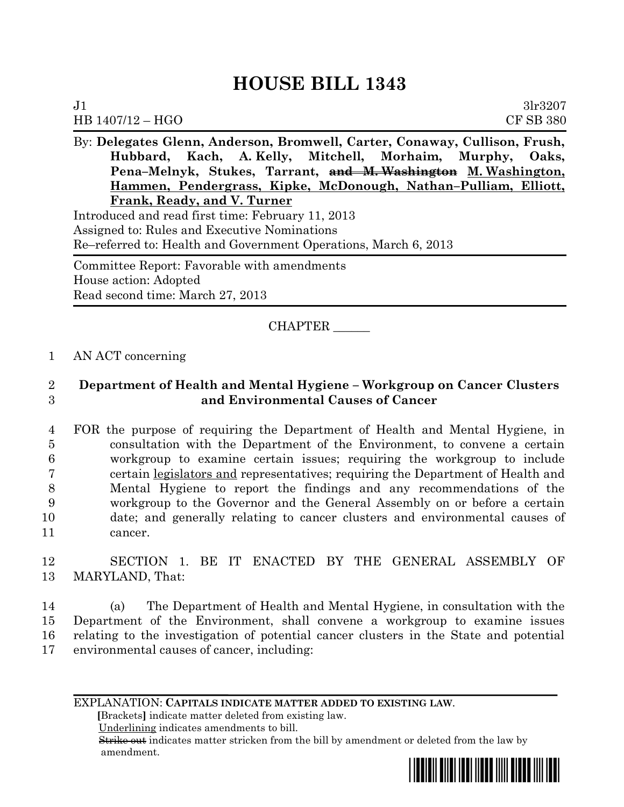# **HOUSE BILL 1343**

| 3 <sub>1</sub> r3207<br>J <sub>1</sub>                                     |
|----------------------------------------------------------------------------|
| <b>CF SB 380</b><br>$HB 1407/12 - HGO$                                     |
| By: Delegates Glenn, Anderson, Bromwell, Carter, Conaway, Cullison, Frush, |
| Hubbard, Kach, A.Kelly, Mitchell, Morhaim, Murphy, Oaks,                   |
| Pena-Melnyk, Stukes, Tarrant, and M. Washington M. Washington,             |
| Hammen, Pendergrass, Kipke, McDonough, Nathan-Pulliam, Elliott,            |
| Frank, Ready, and V. Turner                                                |
| Introduced and read first time: February 11, 2013                          |

Assigned to: Rules and Executive Nominations Re–referred to: Health and Government Operations, March 6, 2013

Committee Report: Favorable with amendments House action: Adopted Read second time: March 27, 2013

# CHAPTER \_\_\_\_\_\_

### 1 AN ACT concerning

## 2 **Department of Health and Mental Hygiene – Workgroup on Cancer Clusters**  3 **and Environmental Causes of Cancer**

 FOR the purpose of requiring the Department of Health and Mental Hygiene, in consultation with the Department of the Environment, to convene a certain workgroup to examine certain issues; requiring the workgroup to include certain legislators and representatives; requiring the Department of Health and Mental Hygiene to report the findings and any recommendations of the workgroup to the Governor and the General Assembly on or before a certain date; and generally relating to cancer clusters and environmental causes of 11 cancer.

### 12 SECTION 1. BE IT ENACTED BY THE GENERAL ASSEMBLY OF 13 MARYLAND, That:

 (a) The Department of Health and Mental Hygiene, in consultation with the Department of the Environment, shall convene a workgroup to examine issues relating to the investigation of potential cancer clusters in the State and potential environmental causes of cancer, including:

EXPLANATION: **CAPITALS INDICATE MATTER ADDED TO EXISTING LAW**.

 **[**Brackets**]** indicate matter deleted from existing law.

Underlining indicates amendments to bill.

 Strike out indicates matter stricken from the bill by amendment or deleted from the law by amendment.